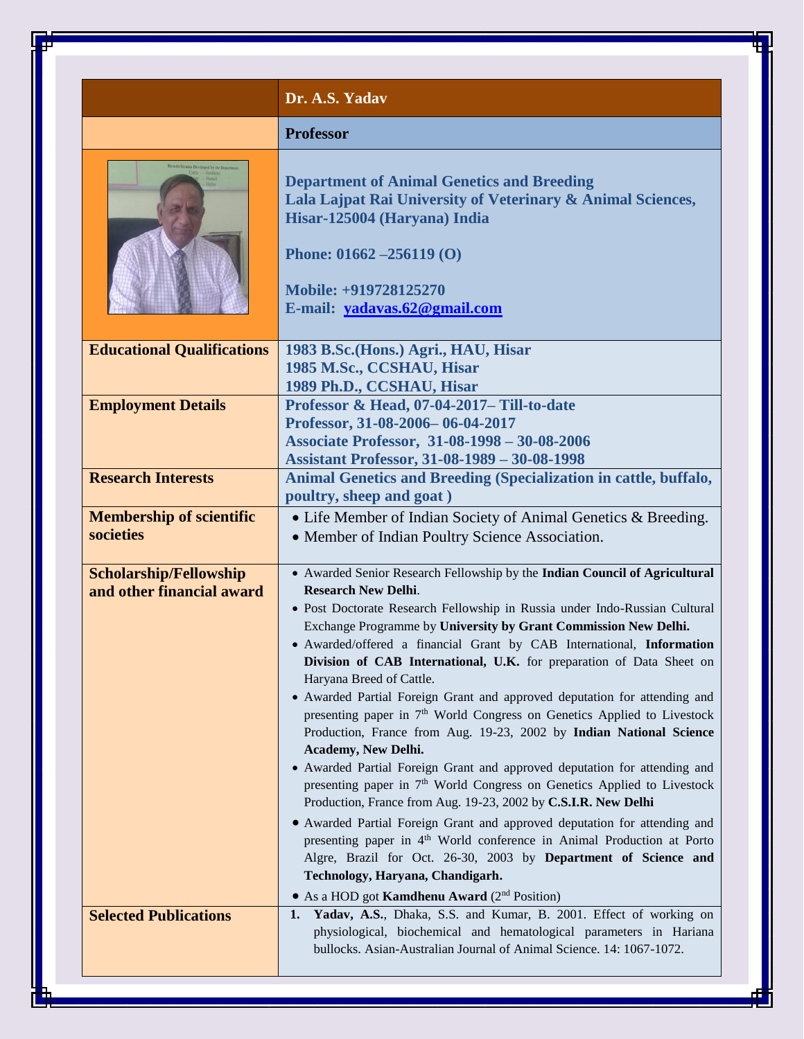|                                              | Dr. A.S. Yadav                                                                                                                                                                                                                                                                                                                                                                                                                                                                                 |
|----------------------------------------------|------------------------------------------------------------------------------------------------------------------------------------------------------------------------------------------------------------------------------------------------------------------------------------------------------------------------------------------------------------------------------------------------------------------------------------------------------------------------------------------------|
|                                              | <b>Professor</b>                                                                                                                                                                                                                                                                                                                                                                                                                                                                               |
|                                              | <b>Department of Animal Genetics and Breeding</b><br>Lala Lajpat Rai University of Veterinary & Animal Sciences,<br>Hisar-125004 (Haryana) India<br>Phone: $01662 - 256119(0)$<br>Mobile: +919728125270<br>E-mail: yadavas.62@gmail.com                                                                                                                                                                                                                                                        |
| <b>Educational Qualifications</b>            | 1983 B.Sc. (Hons.) Agri., HAU, Hisar                                                                                                                                                                                                                                                                                                                                                                                                                                                           |
|                                              | 1985 M.Sc., CCSHAU, Hisar<br>1989 Ph.D., CCSHAU, Hisar                                                                                                                                                                                                                                                                                                                                                                                                                                         |
| <b>Employment Details</b>                    | Professor & Head, 07-04-2017- Till-to-date                                                                                                                                                                                                                                                                                                                                                                                                                                                     |
|                                              | Professor, 31-08-2006-06-04-2017                                                                                                                                                                                                                                                                                                                                                                                                                                                               |
|                                              | Associate Professor, 31-08-1998 - 30-08-2006                                                                                                                                                                                                                                                                                                                                                                                                                                                   |
|                                              | <b>Assistant Professor, 31-08-1989 - 30-08-1998</b>                                                                                                                                                                                                                                                                                                                                                                                                                                            |
| <b>Research Interests</b>                    | Animal Genetics and Breeding (Specialization in cattle, buffalo,                                                                                                                                                                                                                                                                                                                                                                                                                               |
|                                              | poultry, sheep and goat)                                                                                                                                                                                                                                                                                                                                                                                                                                                                       |
| <b>Membership of scientific</b><br>societies | • Life Member of Indian Society of Animal Genetics & Breeding.                                                                                                                                                                                                                                                                                                                                                                                                                                 |
|                                              | • Member of Indian Poultry Science Association.                                                                                                                                                                                                                                                                                                                                                                                                                                                |
| <b>Scholarship/Fellowship</b>                | • Awarded Senior Research Fellowship by the Indian Council of Agricultural                                                                                                                                                                                                                                                                                                                                                                                                                     |
| and other financial award                    | <b>Research New Delhi.</b>                                                                                                                                                                                                                                                                                                                                                                                                                                                                     |
|                                              | · Post Doctorate Research Fellowship in Russia under Indo-Russian Cultural<br>Exchange Programme by University by Grant Commission New Delhi.<br>· Awarded/offered a financial Grant by CAB International, Information<br>Division of CAB International, U.K. for preparation of Data Sheet on<br>Haryana Breed of Cattle.<br>• Awarded Partial Foreign Grant and approved deputation for attending and<br>presenting paper in 7 <sup>th</sup> World Congress on Genetics Applied to Livestock |
|                                              | Production, France from Aug. 19-23, 2002 by Indian National Science                                                                                                                                                                                                                                                                                                                                                                                                                            |
|                                              | <b>Academy, New Delhi.</b><br>• Awarded Partial Foreign Grant and approved deputation for attending and<br>presenting paper in 7 <sup>th</sup> World Congress on Genetics Applied to Livestock<br>Production, France from Aug. 19-23, 2002 by C.S.I.R. New Delhi                                                                                                                                                                                                                               |
|                                              | • Awarded Partial Foreign Grant and approved deputation for attending and<br>presenting paper in 4 <sup>th</sup> World conference in Animal Production at Porto<br>Algre, Brazil for Oct. 26-30, 2003 by Department of Science and<br>Technology, Haryana, Chandigarh.<br>• As a HOD got Kamdhenu Award (2 <sup>nd</sup> Position)                                                                                                                                                             |
| <b>Selected Publications</b>                 | Yadav, A.S., Dhaka, S.S. and Kumar, B. 2001. Effect of working on<br>1.<br>physiological, biochemical and hematological parameters in Hariana<br>bullocks. Asian-Australian Journal of Animal Science. 14: 1067-1072.                                                                                                                                                                                                                                                                          |

∓